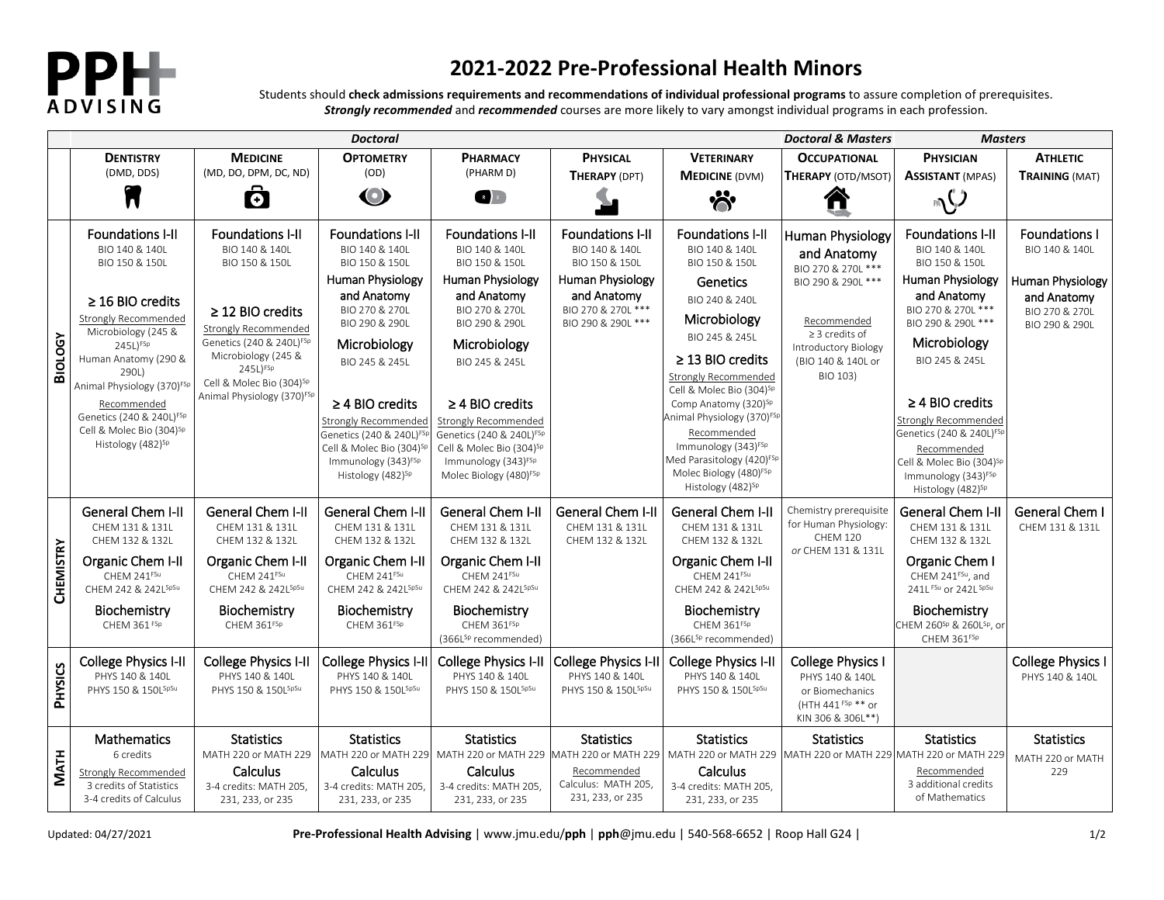

## **2021-2022 Pre-Professional Health Minors**

Students should **check admissions requirements and recommendations of individual professional programs** to assure completion of prerequisites. *Strongly recommended* and *recommended* courses are more likely to vary amongst individual programs in each profession.

|                | <b>Doctoral</b>                                                                                                                                                                                                                                                                                                                                             |                                                                                                                                                                                                                                                                           |                                                                                                                                                                                                                                                                                                                                                              |                                                                                                                                                                                                                                                                                                                                                                               |                                                                                                                                            | Doctoral & Masters:                                                                                                                                                                                                                                                                                                                                                                                                                                             | <b>Masters</b>                                                                                                                                                                     |                                                                                                                                                                                                                                                                                                                                                                                     |                                                                                                               |
|----------------|-------------------------------------------------------------------------------------------------------------------------------------------------------------------------------------------------------------------------------------------------------------------------------------------------------------------------------------------------------------|---------------------------------------------------------------------------------------------------------------------------------------------------------------------------------------------------------------------------------------------------------------------------|--------------------------------------------------------------------------------------------------------------------------------------------------------------------------------------------------------------------------------------------------------------------------------------------------------------------------------------------------------------|-------------------------------------------------------------------------------------------------------------------------------------------------------------------------------------------------------------------------------------------------------------------------------------------------------------------------------------------------------------------------------|--------------------------------------------------------------------------------------------------------------------------------------------|-----------------------------------------------------------------------------------------------------------------------------------------------------------------------------------------------------------------------------------------------------------------------------------------------------------------------------------------------------------------------------------------------------------------------------------------------------------------|------------------------------------------------------------------------------------------------------------------------------------------------------------------------------------|-------------------------------------------------------------------------------------------------------------------------------------------------------------------------------------------------------------------------------------------------------------------------------------------------------------------------------------------------------------------------------------|---------------------------------------------------------------------------------------------------------------|
|                | <b>DENTISTRY</b>                                                                                                                                                                                                                                                                                                                                            | <b>MEDICINE</b>                                                                                                                                                                                                                                                           | <b>OPTOMETRY</b>                                                                                                                                                                                                                                                                                                                                             | <b>PHARMACY</b>                                                                                                                                                                                                                                                                                                                                                               | <b>PHYSICAL</b>                                                                                                                            | <b>VETERINARY</b>                                                                                                                                                                                                                                                                                                                                                                                                                                               | <b>OCCUPATIONAL</b>                                                                                                                                                                | <b>PHYSICIAN</b>                                                                                                                                                                                                                                                                                                                                                                    | <b>ATHLETIC</b>                                                                                               |
|                | (DMD, DDS)                                                                                                                                                                                                                                                                                                                                                  | (MD, DO, DPM, DC, ND)                                                                                                                                                                                                                                                     | (OD)                                                                                                                                                                                                                                                                                                                                                         | (PHARM D)                                                                                                                                                                                                                                                                                                                                                                     | THERAPY (DPT)                                                                                                                              | <b>MEDICINE (DVM)</b>                                                                                                                                                                                                                                                                                                                                                                                                                                           | THERAPY (OTD/MSOT)                                                                                                                                                                 | <b>ASSISTANT (MPAS)</b>                                                                                                                                                                                                                                                                                                                                                             | <b>TRAINING (MAT)</b>                                                                                         |
|                | $\overline{\phantom{a}}$                                                                                                                                                                                                                                                                                                                                    | Ö                                                                                                                                                                                                                                                                         | $\bullet$                                                                                                                                                                                                                                                                                                                                                    | $R$ $\times$                                                                                                                                                                                                                                                                                                                                                                  |                                                                                                                                            | ゚゙゚゚゚゚゚゚゚゚゚゚゚゚゚゚゚゚゚゚                                                                                                                                                                                                                                                                                                                                                                                                                                            |                                                                                                                                                                                    | $\mathbb{R}$                                                                                                                                                                                                                                                                                                                                                                        |                                                                                                               |
| <b>BIOLOGY</b> | <b>Foundations I-II</b><br>BIO 140 & 140L<br>BIO 150 & 150L<br>$\geq$ 16 BIO credits<br>Strongly Recommended<br>Microbiology (245 &<br>$245L$ <sup>FSp</sup><br>Human Anatomy (290 &<br>290L)<br>Animal Physiology (370) <sup>FSF</sup><br>Recommended<br>Genetics (240 & 240L) <sup>FSp</sup><br>Cell & Molec Bio (304)Sp<br>Histology (482) <sup>Sp</sup> | <b>Foundations I-II</b><br>BIO 140 & 140L<br>BIO 150 & 150L<br>$\geq$ 12 BIO credits<br>Strongly Recommended<br>Genetics (240 & 240L) <sup>FSp</sup><br>Microbiology (245 &<br>245L)FSp<br>Cell & Molec Bio (304) <sup>Sp</sup><br>Animal Physiology (370) <sup>FSp</sup> | <b>Foundations I-II</b><br>BIO 140 & 140L<br>BIO 150 & 150L<br>Human Physiology<br>and Anatomy<br>BIO 270 & 270L<br>BIO 290 & 290L<br>Microbiology<br>BIO 245 & 245L<br>$\geq$ 4 BIO credits<br>Strongly Recommended<br>Genetics (240 & 240L) <sup>FSP</sup><br>Cell & Molec Bio (304) <sup>Sp</sup><br>Immunology (343) <sup>FSp</sup><br>Histology (482)Sp | <b>Foundations I-II</b><br>BIO 140 & 140L<br>BIO 150 & 150L<br>Human Physiology<br>and Anatomy<br>BIO 270 & 270L<br>BIO 290 & 290L<br>Microbiology<br>BIO 245 & 245L<br>$\geq$ 4 BIO credits<br>Strongly Recommended<br>Genetics (240 & 240L) <sup>FSp</sup><br>Cell & Molec Bio (304) <sup>Sp</sup><br>Immunology (343) <sup>FSp</sup><br>Molec Biology (480) <sup>FSp</sup> | <b>Foundations I-II</b><br>BIO 140 & 140L<br>BIO 150 & 150L<br>Human Physiology<br>and Anatomy<br>BIO 270 & 270L ***<br>BIO 290 & 290L *** | <b>Foundations I-II</b><br>BIO 140 & 140L<br>BIO 150 & 150L<br>Genetics<br>BIO 240 & 240L<br>Microbiology<br>BIO 245 & 245L<br>$\geq$ 13 BIO credits<br><b>Strongly Recommended</b><br>Cell & Molec Bio (304) <sup>Sp</sup><br>Comp Anatomy (320) <sup>Sp</sup><br>Animal Physiology (370) <sup>FSp</sup><br>Recommended<br>Immunology (343) <sup>FSp</sup><br>Med Parasitology (420) <sup>FSp</sup><br>Molec Biology (480) <sup>FSp</sup><br>Histology (482)Sp | <b>Human Physiology</b><br>and Anatomy<br>BIO 270 & 270L ***<br>BIO 290 & 290L ***<br>Recommended<br>$\geq$ 3 credits of<br>Introductory Biology<br>(BIO 140 & 140L or<br>BIO 103) | <b>Foundations I-II</b><br>BIO 140 & 140L<br>BIO 150 & 150L<br>Human Physiology<br>and Anatomy<br>BIO 270 & 270L ***<br>BIO 290 & 290L ***<br>Microbiology<br>BIO 245 & 245L<br>$\geq$ 4 BIO credits<br>Strongly Recommended<br>Genetics (240 & 240L) <sup>FSF</sup><br>Recommended<br>Cell & Molec Bio (304) <sup>sp</sup><br>Immunology (343) <sup>FSp</sup><br>Histology (482)Sp | <b>Foundations I</b><br>BIO 140 & 140L<br>Human Physiology<br>and Anatomy<br>BIO 270 & 270L<br>BIO 290 & 290L |
| CHEMISTRY      | General Chem I-II<br>CHEM 131 & 131L<br>CHEM 132 & 132L                                                                                                                                                                                                                                                                                                     | <b>General Chem I-II</b><br>CHEM 131 & 131L<br>CHEM 132 & 132L                                                                                                                                                                                                            | General Chem I-II<br>CHEM 131 & 131L<br>CHEM 132 & 132L                                                                                                                                                                                                                                                                                                      | General Chem I-II<br>CHEM 131 & 131L<br>CHEM 132 & 132L                                                                                                                                                                                                                                                                                                                       | General Chem I-II<br>CHEM 131 & 131L<br>CHEM 132 & 132L                                                                                    | General Chem I-II<br>CHEM 131 & 131L<br>CHEM 132 & 132L                                                                                                                                                                                                                                                                                                                                                                                                         | Chemistry prerequisite<br>for Human Physiology:<br><b>CHEM 120</b>                                                                                                                 | General Chem I-II<br>CHEM 131 & 131L<br>CHEM 132 & 132L                                                                                                                                                                                                                                                                                                                             | General Chem I<br>CHEM 131 & 131L                                                                             |
|                | Organic Chem I-II<br>CHEM 241FSu<br>CHEM 242 & 242LSpSu                                                                                                                                                                                                                                                                                                     | Organic Chem I-II<br>CHEM 241FSu<br>CHEM 242 & 242LSpSu                                                                                                                                                                                                                   | Organic Chem I-II<br>CHEM 241FSu<br>CHEM 242 & 242LSpSu                                                                                                                                                                                                                                                                                                      | Organic Chem I-II<br>CHEM 241FSu<br>CHEM 242 & 242LSpSu                                                                                                                                                                                                                                                                                                                       |                                                                                                                                            | Organic Chem I-II<br>CHEM 241FSu<br>CHEM 242 & 242LSpSu                                                                                                                                                                                                                                                                                                                                                                                                         | or CHEM 131 & 131L                                                                                                                                                                 | Organic Chem I<br>CHEM 241FSu, and<br>241L FSu or 242L SpSu                                                                                                                                                                                                                                                                                                                         |                                                                                                               |
|                | Biochemistry<br>CHEM 361 FSp                                                                                                                                                                                                                                                                                                                                | Biochemistry<br>CHEM 361FSp                                                                                                                                                                                                                                               | Biochemistry<br>CHEM 361FSp                                                                                                                                                                                                                                                                                                                                  | Biochemistry<br>CHEM 361FSp<br>(366LSp recommended)                                                                                                                                                                                                                                                                                                                           |                                                                                                                                            | Biochemistry<br>CHEM 361FSp<br>(366L <sup>Sp</sup> recommended)                                                                                                                                                                                                                                                                                                                                                                                                 |                                                                                                                                                                                    | Biochemistry<br>CHEM 260 <sup>sp</sup> & 260L <sup>sp</sup> , or<br>CHEM 361FSp                                                                                                                                                                                                                                                                                                     |                                                                                                               |
| <b>PHYSICS</b> | College Physics I-II<br>PHYS 140 & 140L<br>PHYS 150 & 150LSpSu                                                                                                                                                                                                                                                                                              | <b>College Physics I-II</b><br>PHYS 140 & 140L<br>PHYS 150 & 150LSpSu                                                                                                                                                                                                     | <b>College Physics I-II</b><br>PHYS 140 & 140L<br>PHYS 150 & 150LSpSu                                                                                                                                                                                                                                                                                        | College Physics I-II<br>PHYS 140 & 140L<br>PHYS 150 & 150LSpSu                                                                                                                                                                                                                                                                                                                | College Physics I-II<br>PHYS 140 & 140L<br>PHYS 150 & 150LSpSu                                                                             | <b>College Physics I-II</b><br>PHYS 140 & 140L<br>PHYS 150 & 150LSpSu                                                                                                                                                                                                                                                                                                                                                                                           | <b>College Physics I</b><br>PHYS 140 & 140L<br>or Biomechanics<br>(HTH 441 FSp ** or<br>KIN 306 & 306L**)                                                                          |                                                                                                                                                                                                                                                                                                                                                                                     | <b>College Physics I</b><br>PHYS 140 & 140L                                                                   |
| <b>MATH</b>    | Mathematics<br>6 credits<br>Strongly Recommended<br>3 credits of Statistics<br>3-4 credits of Calculus                                                                                                                                                                                                                                                      | <b>Statistics</b><br>MATH 220 or MATH 229<br>Calculus<br>3-4 credits: MATH 205,<br>231, 233, or 235                                                                                                                                                                       | <b>Statistics</b><br>MATH 220 or MATH 229<br>Calculus<br>3-4 credits: MATH 205,<br>231, 233, or 235                                                                                                                                                                                                                                                          | <b>Statistics</b><br>MATH 220 or MATH 229 MATH 220 or MATH 229<br>Calculus<br>3-4 credits: MATH 205,<br>231, 233, or 235                                                                                                                                                                                                                                                      | <b>Statistics</b><br>Recommended<br>Calculus: MATH 205,<br>231, 233, or 235                                                                | <b>Statistics</b><br>MATH 220 or MATH 229<br>Calculus<br>3-4 credits: MATH 205,<br>231, 233, or 235                                                                                                                                                                                                                                                                                                                                                             | <b>Statistics</b>                                                                                                                                                                  | <b>Statistics</b><br>MATH 220 or MATH 229 MATH 220 or MATH 229<br>Recommended<br>3 additional credits<br>of Mathematics                                                                                                                                                                                                                                                             | <b>Statistics</b><br>MATH 220 or MATH<br>229                                                                  |